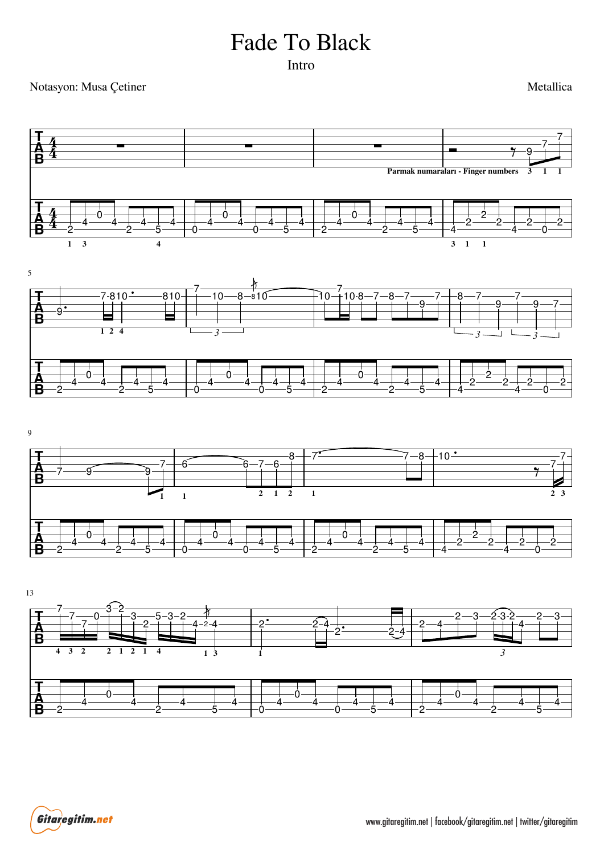## Fade To Black

Intro

## Notasyon: Musa Çetiner

Metallica



Gitaregitim.net